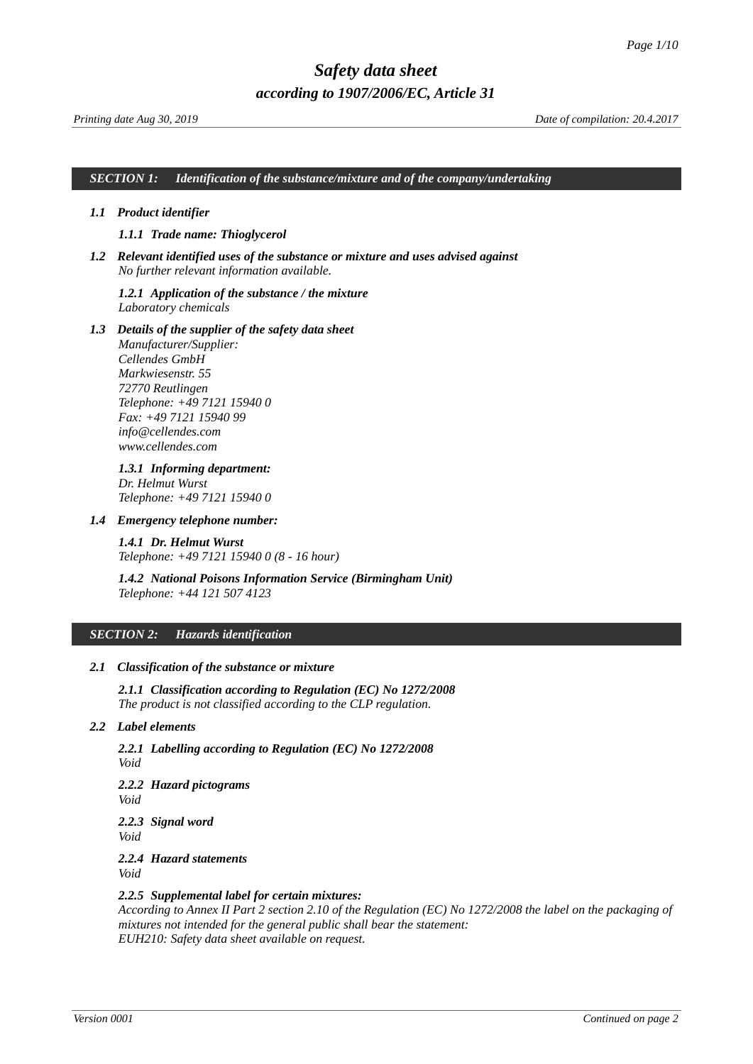### *SECTION 1: Identification of the substance/mixture and of the company/undertaking*

### *1.1 Product identifier*

### <span id="page-0-0"></span>*1.1.1 Trade name: Thioglycerol*

*1.2 Relevant identified uses of the substance or mixture and uses advised against No further relevant information available.*

### *1.2.1 Application of the substance / the mixture Laboratory chemicals*

*1.3 Details of the supplier of the safety data sheet Manufacturer/Supplier: Cellendes GmbH Markwiesenstr. 55 72770 Reutlingen Telephone: +49 7121 15940 0 Fax: +49 7121 15940 99 info@cellendes.com*

*www.cellendes.com*

# *1.3.1 Informing department:*

*Dr. Helmut Wurst Telephone: +49 7121 15940 0*

### *1.4 Emergency telephone number:*

### *1.4.1 Dr. Helmut Wurst Telephone: +49 7121 15940 0 (8 - 16 hour)*

*1.4.2 National Poisons Information Service (Birmingham Unit) Telephone: +44 121 507 4123*

### *SECTION 2: Hazards identification*

### *2.1 Classification of the substance or mixture*

*2.1.1 Classification according to Regulation (EC) No 1272/2008 The product is not classified according to the CLP regulation.*

### *2.2 Label elements*

*2.2.1 Labelling according to Regulation (EC) No 1272/2008 Void 2.2.2 Hazard pictograms Void 2.2.3 Signal word Void 2.2.4 Hazard statements*

*Void*

### *2.2.5 Supplemental label for certain mixtures:*

<span id="page-0-1"></span>*According to Annex II Part 2 section 2.10 of the Regulation (EC) No 1272/2008 the label on the packaging of mixtures not intended for the general public shall bear the statement: EUH210: Safety data sheet available on request.*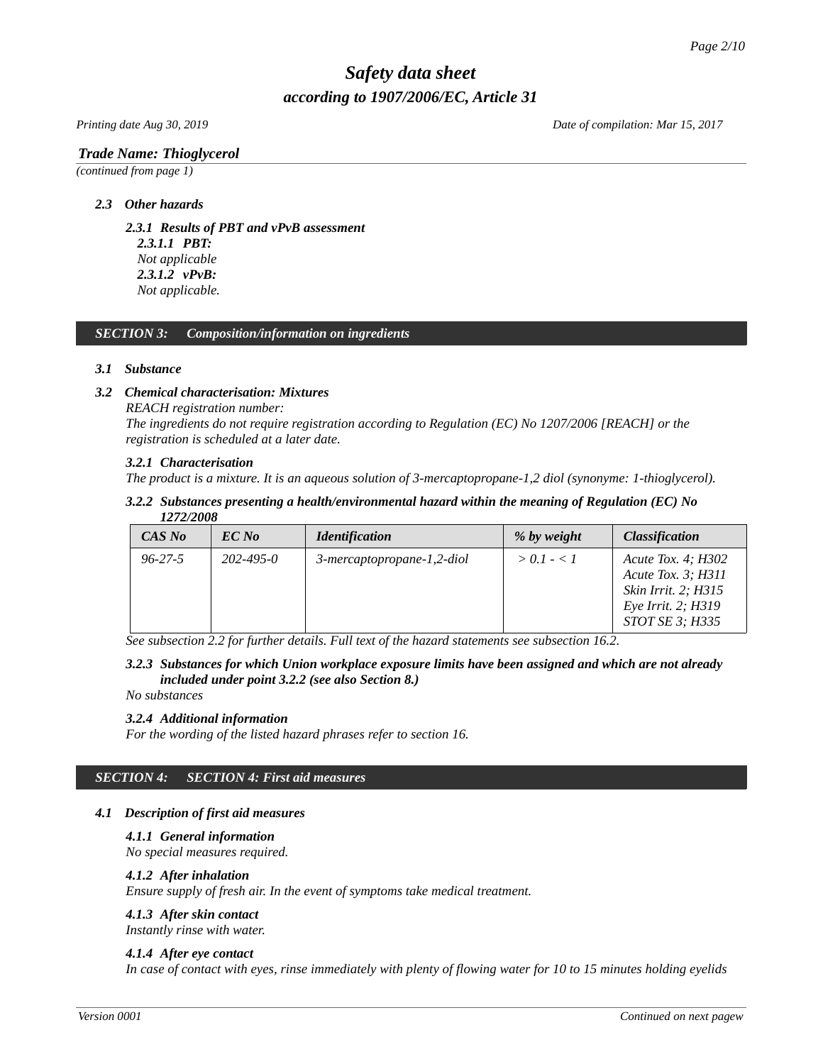*Printing date Aug 30, 2019 Date of compilation: Mar 15, 2017*

### *Trade Name: [Thioglycerol](#page-0-0)*

*(continued from page 1)*

### *2.3 Other hazards*

*2.3.1 Results of PBT and vPvB assessment 2.3.1.1 PBT: Not applicable 2.3.1.2 vPvB: Not applicable.*

### *SECTION 3: Composition/information on ingredients*

### *3.1 Substance*

### *3.2 Chemical characterisation: Mixtures*

*REACH registration number:*

*The ingredients do not require registration according to Regulation (EC) No 1207/2006 [REACH] or the registration is scheduled at a later date.*

### *3.2.1 Characterisation*

*The product is a mixture. It is an aqueous solution of 3-mercaptopropane-1,2 diol (synonyme: 1-thioglycerol).*

### *3.2.2 Substances presenting a health/environmental hazard within the meaning of Regulation (EC) No 1272/2008*

| CAS No        | EC No     | <i><u><b>Identification</b></u></i> | % by weight   | <b>Classification</b>                                                                                    |
|---------------|-----------|-------------------------------------|---------------|----------------------------------------------------------------------------------------------------------|
| $96 - 27 - 5$ | 202-495-0 | 3-mercaptopropane-1,2-diol          | $> 0.1 - 1.1$ | Acute Tox. 4; H302<br>Acute Tox. 3; H311<br>Skin Irrit. 2; H315<br>Eye Irrit. 2; H319<br>STOT SE 3: H335 |

*See subsection 2.2 for further details. Full text of the hazard statements see subsection 16.2.*

## *3.2.3 Substances for which Union workplace exposure limits have been assigned and which are not already included under point 3.2.2 (see also Section 8.)*

*No substances*

### *3.2.4 Additional information*

*For the wording of the listed hazard phrases refer to section 16.*

### *SECTION 4: SECTION 4: First aid measures*

### *4.1 Description of first aid measures*

### *4.1.1 General information*

*No special measures required.*

### *4.1.2 After inhalation*

*Ensure supply of fresh air. In the event of symptoms take medical treatment.*

### *4.1.3 After skin contact*

*Instantly rinse with water.*

### *4.1.4 After eye contact*

*In case of contact with eyes, rinse immediately with plenty of flowing water for 10 to 15 minutes holding eyelids*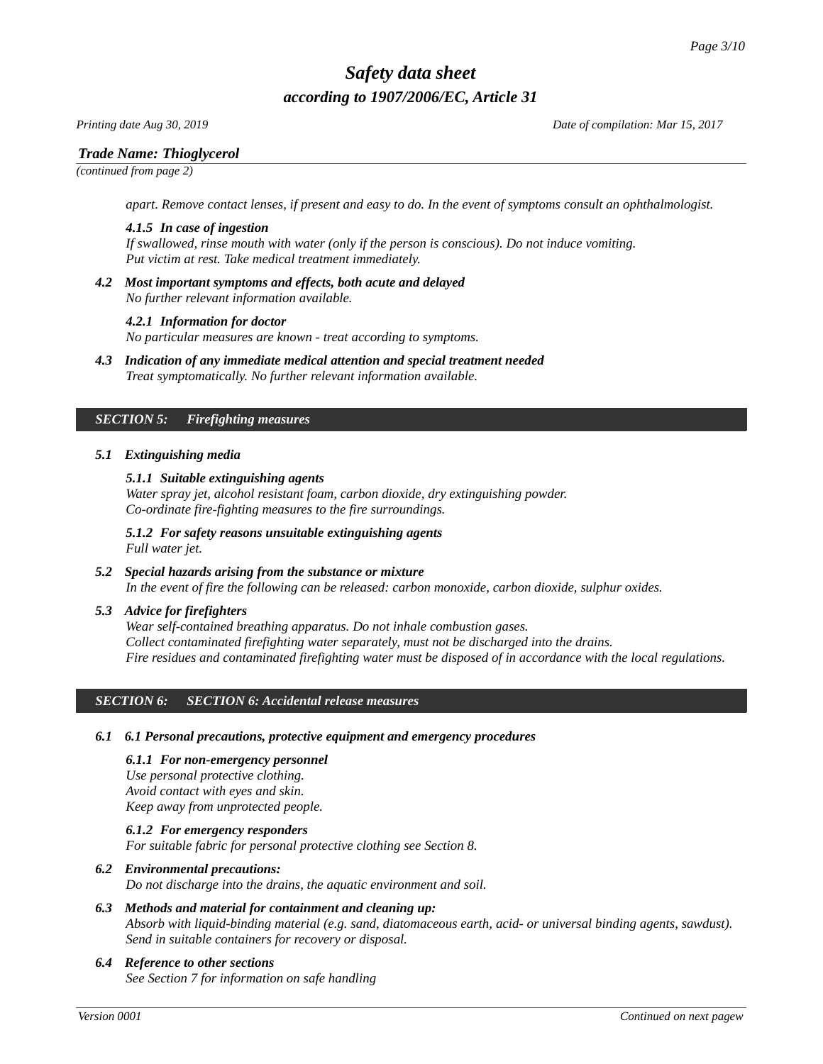*Printing date Aug 30, 2019 Date of compilation: Mar 15, 2017*

# *Trade Name: [Thioglycerol](#page-0-0)*

*(continued from page 2)*

*apart. Remove contact lenses, if present and easy to do. In the event of symptoms consult an ophthalmologist.*

### *4.1.5 In case of ingestion*

*If swallowed, rinse mouth with water (only if the person is conscious). Do not induce vomiting. Put victim at rest. Take medical treatment immediately.*

*4.2 Most important symptoms and effects, both acute and delayed No further relevant information available.*

### *4.2.1 Information for doctor*

*No particular measures are known - treat according to symptoms.*

*4.3 Indication of any immediate medical attention and special treatment needed Treat symptomatically. No further relevant information available.*

### *SECTION 5: Firefighting measures*

### *5.1 Extinguishing media*

### *5.1.1 Suitable extinguishing agents*

*Water spray jet, alcohol resistant foam, carbon dioxide, dry extinguishing powder. Co-ordinate fire-fighting measures to the fire surroundings.*

# *5.1.2 For safety reasons unsuitable extinguishing agents*

*Full water jet.*

## *5.2 Special hazards arising from the substance or mixture*

*In the event of fire the following can be released: carbon monoxide, carbon dioxide, sulphur oxides.*

### *5.3 Advice for firefighters*

*Wear self-contained breathing apparatus. Do not inhale combustion gases. Collect contaminated firefighting water separately, must not be discharged into the drains. Fire residues and contaminated firefighting water must be disposed of in accordance with the local regulations.*

### *SECTION 6: SECTION 6: Accidental release measures*

### *6.1 6.1 Personal precautions, protective equipment and emergency procedures*

## *6.1.1 For non-emergency personnel*

*Use personal protective clothing. Avoid contact with eyes and skin. Keep away from unprotected people.*

*6.1.2 For emergency responders*

*For suitable fabric for personal protective clothing see Section 8.*

- *6.2 Environmental precautions: Do not discharge into the drains, the aquatic environment and soil.*
- *6.3 Methods and material for containment and cleaning up: Absorb with liquid-binding material (e.g. sand, diatomaceous earth, acid- or universal binding agents, sawdust). Send in suitable containers for recovery or disposal.*

# *6.4 Reference to other sections*

*See Section 7 for information on safe handling*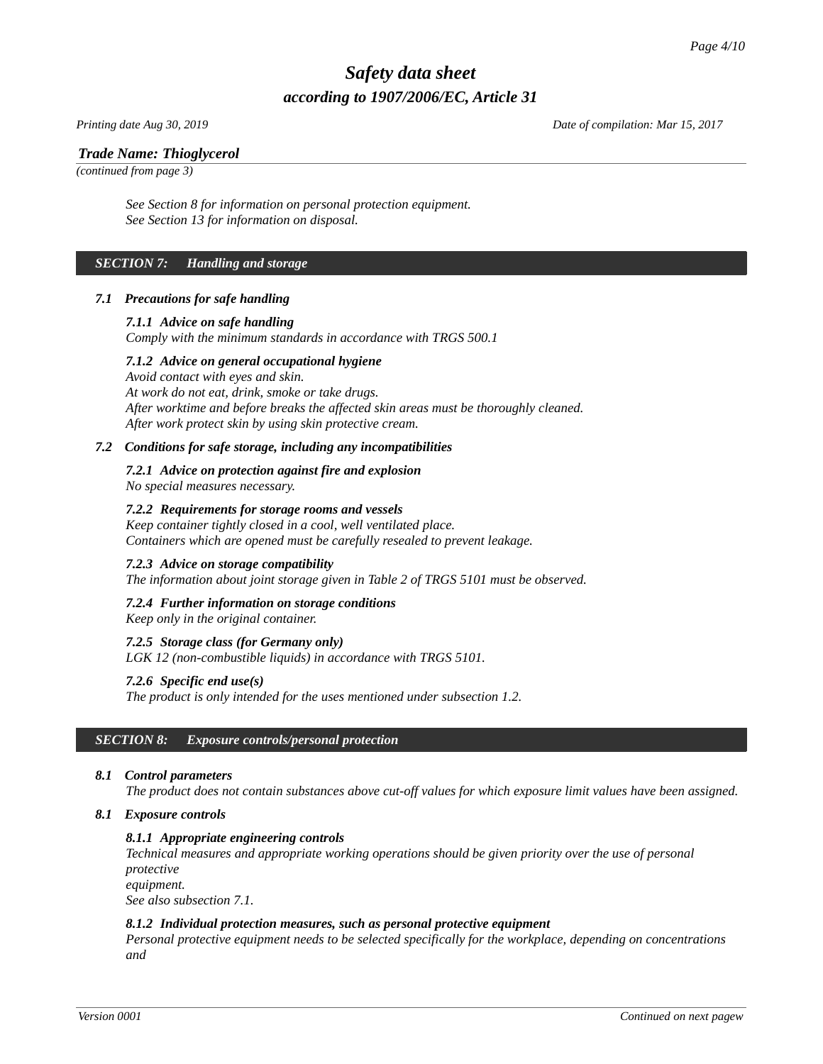*Printing date Aug 30, 2019 Date of compilation: Mar 15, 2017*

## *Trade Name: [Thioglycerol](#page-0-0)*

*(continued from page 3)*

*See Section 8 for information on personal protection equipment. See Section 13 for information on disposal.*

### *SECTION 7: Handling and storage*

### *7.1 Precautions for safe handling*

### *7.1.1 Advice on safe handling*

*Comply with the minimum standards in accordance with TRGS 500.1*

### *7.1.2 Advice on general occupational hygiene*

*Avoid contact with eyes and skin. At work do not eat, drink, smoke or take drugs. After worktime and before breaks the affected skin areas must be thoroughly cleaned. After work protect skin by using skin protective cream.*

### *7.2 Conditions for safe storage, including any incompatibilities*

### *7.2.1 Advice on protection against fire and explosion*

*No special measures necessary.*

### *7.2.2 Requirements for storage rooms and vessels*

*Keep container tightly closed in a cool, well ventilated place. Containers which are opened must be carefully resealed to prevent leakage.*

### *7.2.3 Advice on storage compatibility*

*The information about joint storage given in Table 2 of TRGS 5101 must be observed.*

### *7.2.4 Further information on storage conditions*

*Keep only in the original container.*

# *7.2.5 Storage class (for Germany only)*

*LGK 12 (non-combustible liquids) in accordance with TRGS 5101.*

### *7.2.6 Specific end use(s)*

*The product is only intended for the uses mentioned under subsection 1.2.*

### *SECTION 8: Exposure controls/personal protection*

### *8.1 Control parameters*

*The product does not contain substances above cut-off values for which exposure limit values have been assigned.*

### *8.1 Exposure controls*

### *8.1.1 Appropriate engineering controls*

*Technical measures and appropriate working operations should be given priority over the use of personal protective*

*equipment. See also subsection 7.1.*

### *8.1.2 Individual protection measures, such as personal protective equipment*

*Personal protective equipment needs to be selected specifically for the workplace, depending on concentrations and*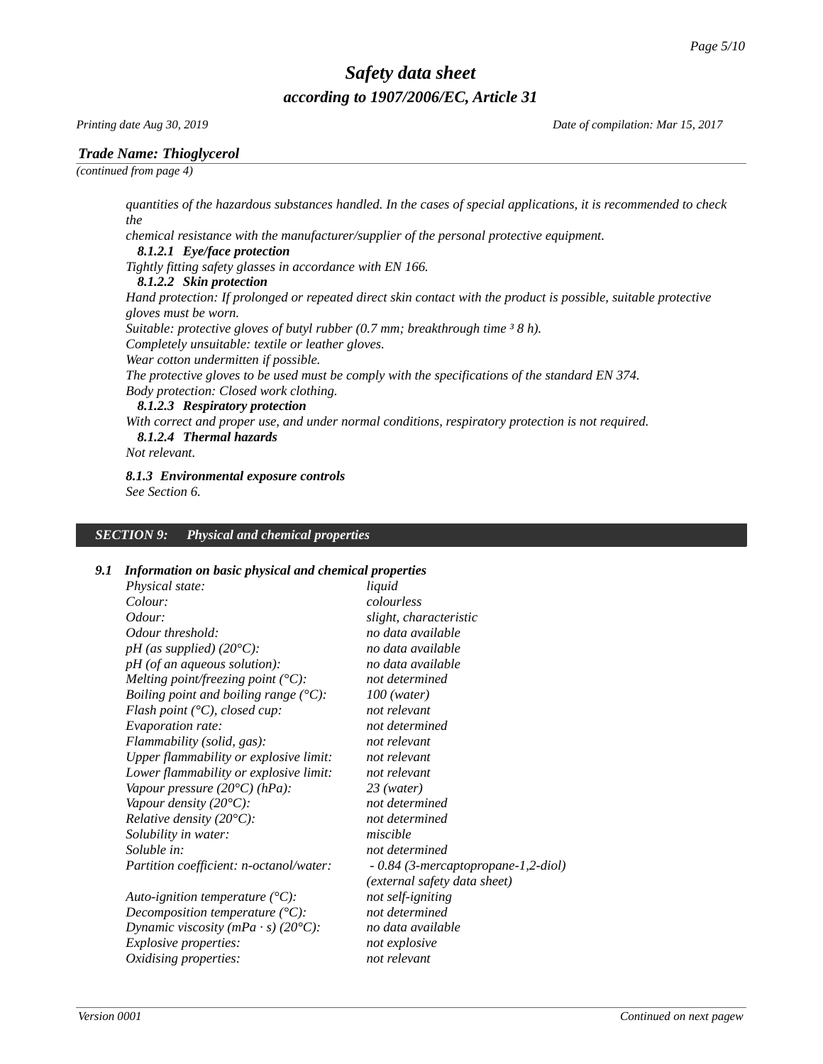*Printing date Aug 30, 2019 Date of compilation: Mar 15, 2017*

# *Trade Name: [Thioglycerol](#page-0-0)*

*(continued from page 4)*

*quantities of the hazardous substances handled. In the cases of special applications, it is recommended to check the*

*chemical resistance with the manufacturer/supplier of the personal protective equipment.*

## *8.1.2.1 Eye/face protection*

*Tightly fitting safety glasses in accordance with EN 166.*

## *8.1.2.2 Skin protection*

*Hand protection: If prolonged or repeated direct skin contact with the product is possible, suitable protective gloves must be worn.*

*Suitable: protective gloves of butyl rubber (0.7 mm; breakthrough time <sup>3</sup> 8 h).* 

*Completely unsuitable: textile or leather gloves.*

*Wear cotton undermitten if possible.*

*The protective gloves to be used must be comply with the specifications of the standard EN 374. Body protection: Closed work clothing.*

*8.1.2.3 Respiratory protection*

*With correct and proper use, and under normal conditions, respiratory protection is not required. 8.1.2.4 Thermal hazards*

*Not relevant.*

# *8.1.3 Environmental exposure controls*

*See Section 6.*

## *SECTION 9: Physical and chemical properties*

### *9.1 Information on basic physical and chemical properties*

| Physical state:                                 | liquid                              |
|-------------------------------------------------|-------------------------------------|
| Colour:                                         | colourless                          |
| Odour:                                          | slight, characteristic              |
| Odour threshold:                                | no data available                   |
| $pH$ (as supplied) (20 $^{\circ}$ C):           | no data available                   |
| pH (of an aqueous solution):                    | no data available                   |
| Melting point/freezing point $(^{\circ}C)$ :    | not determined                      |
| Boiling point and boiling range $(^{\circ}C)$ : | 100 (water)                         |
| Flash point (°C), closed cup:                   | not relevant                        |
| Evaporation rate:                               | not determined                      |
| Flammability (solid, gas):                      | not relevant                        |
| Upper flammability or explosive limit:          | not relevant                        |
| Lower flammability or explosive limit:          | not relevant                        |
| Vapour pressure (20°C) (hPa):                   | 23 (water)                          |
| Vapour density $(20^{\circ}C)$ :                | not determined                      |
| Relative density (20 $^{\circ}$ C):             | not determined                      |
| Solubility in water:                            | miscible                            |
| Soluble in:                                     | not determined                      |
| Partition coefficient: n-octanol/water:         | - 0.84 (3-mercaptopropane-1,2-diol) |
|                                                 | (external safety data sheet)        |
| Auto-ignition temperature $(^{\circ}C)$ :       | not self-igniting                   |
| Decomposition temperature $(^{\circ}C)$ :       | not determined                      |
| Dynamic viscosity (mPa · s) (20 $^{\circ}$ C):  | no data available                   |
| Explosive properties:                           | not explosive                       |
| Oxidising properties:                           | not relevant                        |
|                                                 |                                     |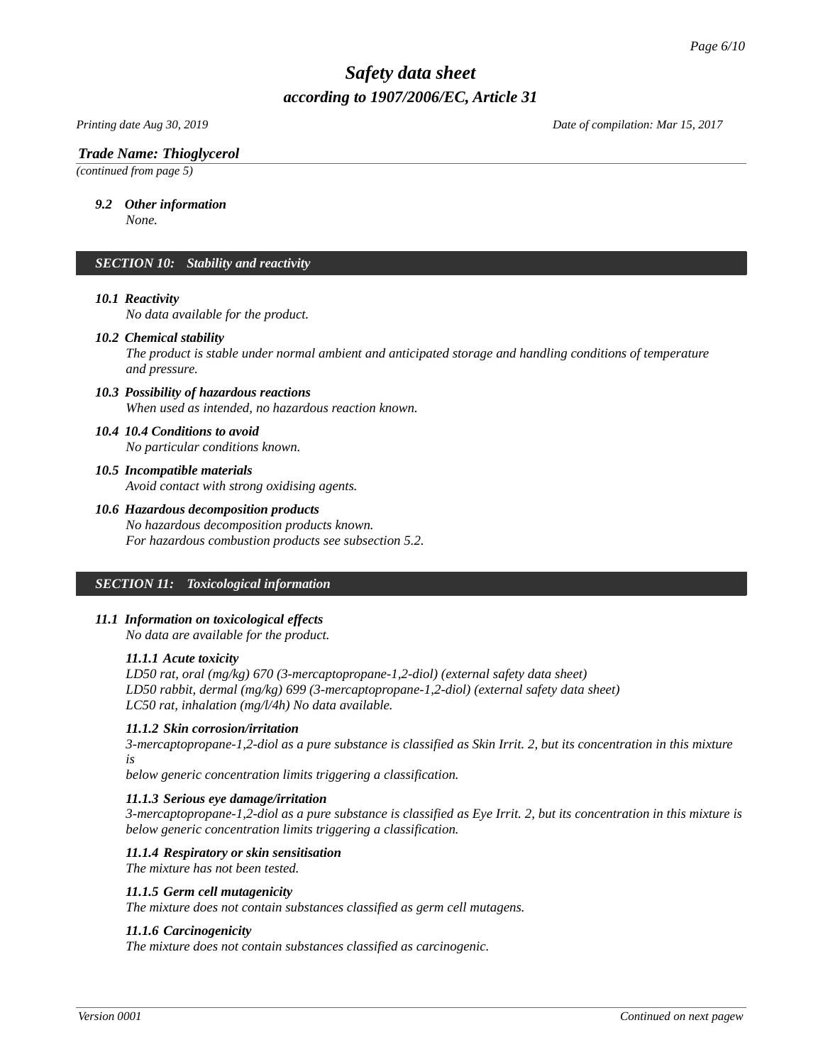*Printing date Aug 30, 2019 Date of compilation: Mar 15, 2017*

# *Trade Name: [Thioglycerol](#page-0-0)*

*(continued from page 5)*

### *9.2 Other information*

*None.*

### *SECTION 10: Stability and reactivity*

### *10.1 Reactivity*

*No data available for the product.*

### *10.2 Chemical stability*

*The product is stable under normal ambient and anticipated storage and handling conditions of temperature and pressure.*

### *10.3 Possibility of hazardous reactions When used as intended, no hazardous reaction known.*

## *10.4 10.4 Conditions to avoid*

*No particular conditions known.*

### *10.5 Incompatible materials*

*Avoid contact with strong oxidising agents.*

### *10.6 Hazardous decomposition products*

*No hazardous decomposition products known. For hazardous combustion products see subsection 5.2.*

### *SECTION 11: Toxicological information*

### *11.1 Information on toxicological effects*

*No data are available for the product.*

### *11.1.1 Acute toxicity*

*LD50 rat, oral (mg/kg) 670 (3-mercaptopropane-1,2-diol) (external safety data sheet) LD50 rabbit, dermal (mg/kg) 699 (3-mercaptopropane-1,2-diol) (external safety data sheet) LC50 rat, inhalation (mg/l/4h) No data available.*

### *11.1.2 Skin corrosion/irritation*

*3-mercaptopropane-1,2-diol as a pure substance is classified as Skin Irrit. 2, but its concentration in this mixture is*

*below generic concentration limits triggering a classification.*

### *11.1.3 Serious eye damage/irritation*

*3-mercaptopropane-1,2-diol as a pure substance is classified as Eye Irrit. 2, but its concentration in this mixture is below generic concentration limits triggering a classification.*

### *11.1.4 Respiratory or skin sensitisation*

*The mixture has not been tested.*

### *11.1.5 Germ cell mutagenicity*

*The mixture does not contain substances classified as germ cell mutagens.*

### *11.1.6 Carcinogenicity*

*The mixture does not contain substances classified as carcinogenic.*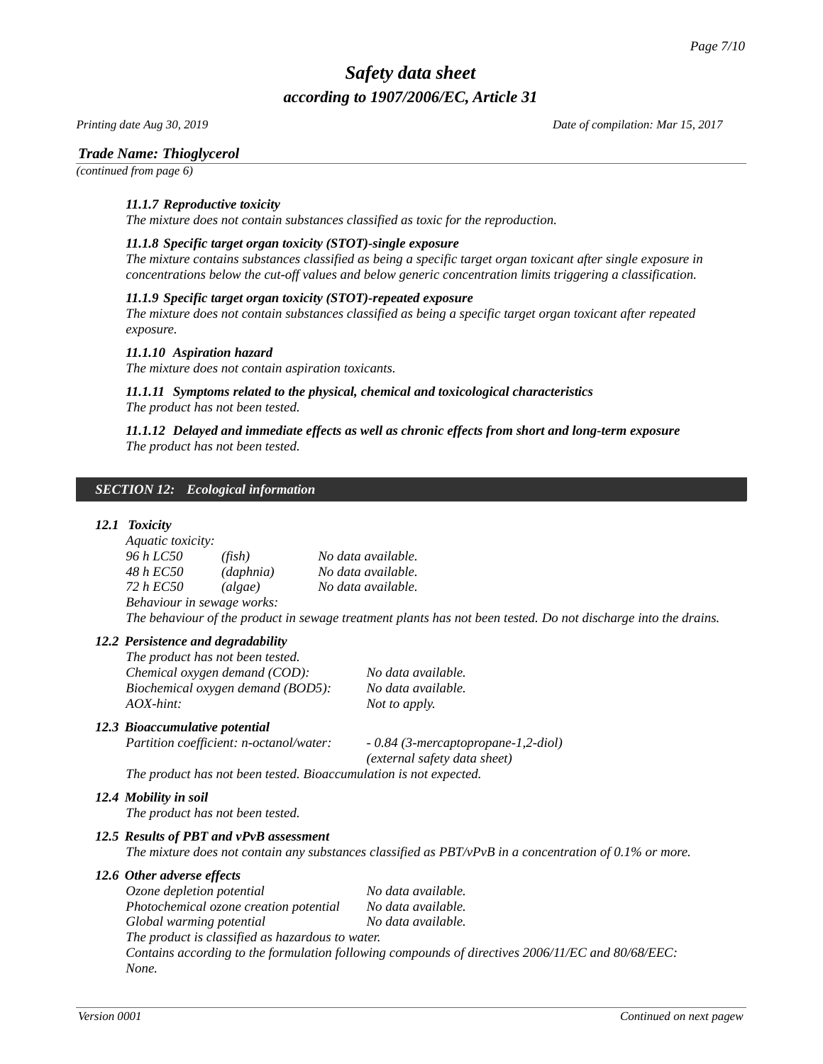*Printing date Aug 30, 2019 Date of compilation: Mar 15, 2017*

# *Trade Name: [Thioglycerol](#page-0-0)*

*(continued from page 6)*

### *11.1.7 Reproductive toxicity*

*The mixture does not contain substances classified as toxic for the reproduction.*

### *11.1.8 Specific target organ toxicity (STOT)-single exposure*

*The mixture contains substances classified as being a specific target organ toxicant after single exposure in concentrations below the cut-off values and below generic concentration limits triggering a classification.*

### *11.1.9 Specific target organ toxicity (STOT)-repeated exposure*

*The mixture does not contain substances classified as being a specific target organ toxicant after repeated exposure.*

### *11.1.10 Aspiration hazard*

*The mixture does not contain aspiration toxicants.*

### *11.1.11 Symptoms related to the physical, chemical and toxicological characteristics The product has not been tested.*

*11.1.12 Delayed and immediate effects as well as chronic effects from short and long-term exposure The product has not been tested.*

### *SECTION 12: Ecological information*

### *12.1 Toxicity*

| Aquatic toxicity:          |           |                    |
|----------------------------|-----------|--------------------|
| 96 h LC50                  | (fish)    | No data available. |
| 48 h EC50                  | (daphnia) | No data available. |
| 72 h EC50                  | (algae)   | No data available. |
| Behaviour in sewage works: |           |                    |

*The behaviour of the product in sewage treatment plants has not been tested. Do not discharge into the drains.*

### *12.2 Persistence and degradability*

*The product has not been tested. Chemical oxygen demand (COD): No data available. Biochemical oxygen demand (BOD5): No data available. AOX-hint: Not to apply.*

### *12.3 Bioaccumulative potential*

*Partition coefficient: n-octanol/water: - 0.84 (3-mercaptopropane-1,2-diol)*

*(external safety data sheet)*

*The product has not been tested. Bioaccumulation is not expected.*

### *12.4 Mobility in soil*

*The product has not been tested.*

### *12.5 Results of PBT and vPvB assessment*

*The mixture does not contain any substances classified as PBT/vPvB in a concentration of 0.1% or more.*

### *12.6 Other adverse effects*

*Ozone depletion potential No data available. Photochemical ozone creation potential No data available. Global warming potential No data available. The product is classified as hazardous to water. Contains according to the formulation following compounds of directives 2006/11/EC and 80/68/EEC: None.*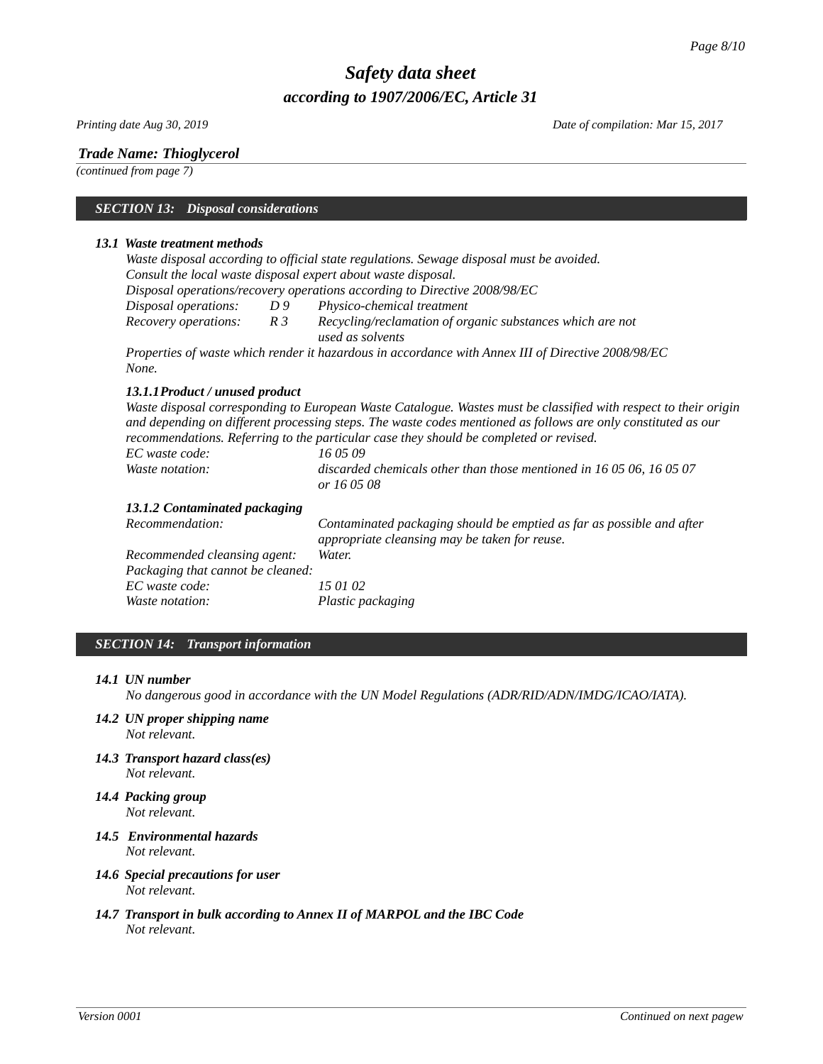### *Printing date Aug 30, 2019 Date of compilation: Mar 15, 2017*

# *Trade Name: [Thioglycerol](#page-0-0)*

*(continued from page 7)*

## *SECTION 13: Disposal considerations*

## *13.1 Waste treatment methods*

|                                                                      |    | Waste disposal according to official state regulations. Sewage disposal must be avoided.                                                                                                                                                                                                                                                                                                                                       |
|----------------------------------------------------------------------|----|--------------------------------------------------------------------------------------------------------------------------------------------------------------------------------------------------------------------------------------------------------------------------------------------------------------------------------------------------------------------------------------------------------------------------------|
|                                                                      |    | Consult the local waste disposal expert about waste disposal.                                                                                                                                                                                                                                                                                                                                                                  |
|                                                                      |    | Disposal operations/recovery operations according to Directive 2008/98/EC                                                                                                                                                                                                                                                                                                                                                      |
| Disposal operations:                                                 |    | D 9 Physico-chemical treatment                                                                                                                                                                                                                                                                                                                                                                                                 |
| Recovery operations:                                                 | R3 | Recycling/reclamation of organic substances which are not<br>used as solvents                                                                                                                                                                                                                                                                                                                                                  |
| None.                                                                |    | Properties of waste which render it hazardous in accordance with Annex III of Directive 2008/98/EC                                                                                                                                                                                                                                                                                                                             |
| 13.1.1 Product / unused product<br>EC waste code:<br>Waste notation: |    | Waste disposal corresponding to European Waste Catalogue. Wastes must be classified with respect to their origin<br>and depending on different processing steps. The waste codes mentioned as follows are only constituted as our<br>recommendations. Referring to the particular case they should be completed or revised.<br>16 05 09<br>discarded chemicals other than those mentioned in 16 05 06, 16 05 07<br>or 16 05 08 |
| 13.1.2 Contaminated packaging                                        |    |                                                                                                                                                                                                                                                                                                                                                                                                                                |
| Recommendation:                                                      |    | Contaminated packaging should be emptied as far as possible and after<br>appropriate cleansing may be taken for reuse.                                                                                                                                                                                                                                                                                                         |
| Recommended cleansing agent:                                         |    | Water.                                                                                                                                                                                                                                                                                                                                                                                                                         |
| Packaging that cannot be cleaned:                                    |    |                                                                                                                                                                                                                                                                                                                                                                                                                                |
| EC waste code:                                                       |    | 15 01 02                                                                                                                                                                                                                                                                                                                                                                                                                       |
| Waste notation:                                                      |    | Plastic packaging                                                                                                                                                                                                                                                                                                                                                                                                              |

## *SECTION 14: Transport information*

### *14.1 UN number*

*No dangerous good in accordance with the UN Model Regulations (ADR/RID/ADN/IMDG/ICAO/IATA).*

- *14.2 UN proper shipping name Not relevant.*
- *14.3 Transport hazard class(es) Not relevant.*
- *14.4 Packing group Not relevant.*
- *14.5 Environmental hazards Not relevant.*
- *14.6 Special precautions for user Not relevant.*
- *14.7 Transport in bulk according to Annex II of MARPOL and the IBC Code Not relevant.*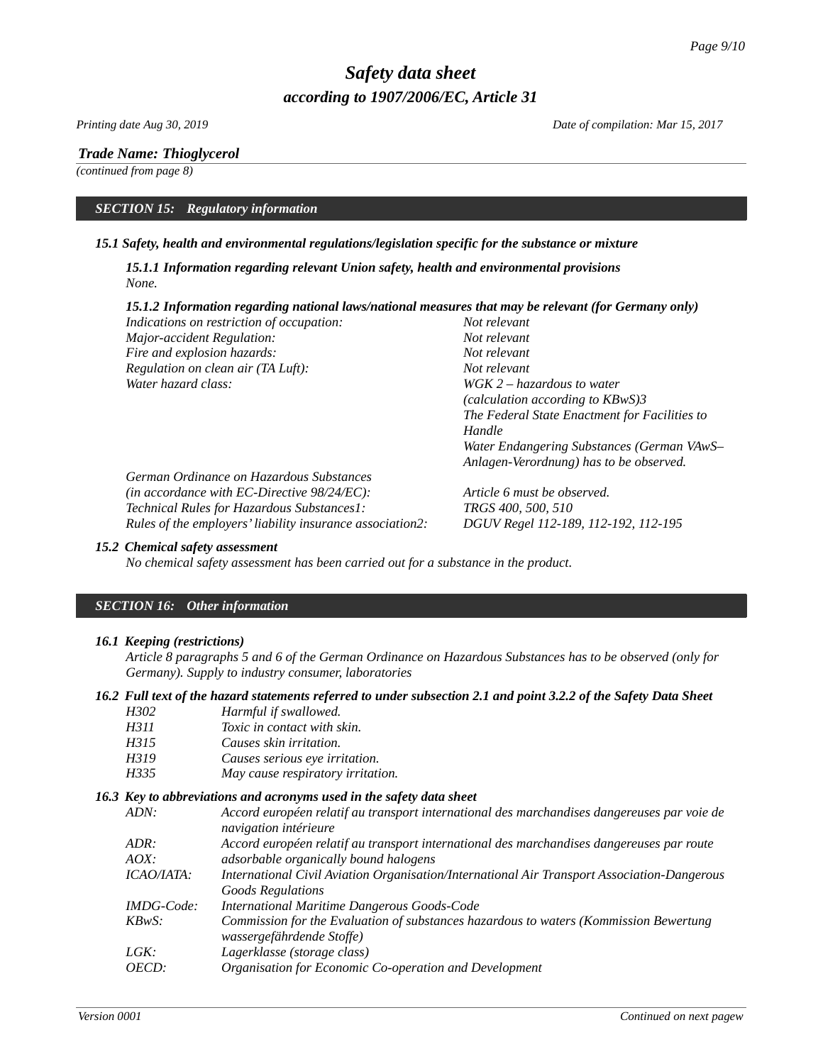*Printing date Aug 30, 2019 Date of compilation: Mar 15, 2017*

# *Trade Name: [Thioglycerol](#page-0-0)*

*(continued from page 8)*

### *SECTION 15: Regulatory information*

### *15.1 Safety, health and environmental regulations/legislation specific for the substance or mixture*

*15.1.1 Information regarding relevant Union safety, health and environmental provisions None.*

| 15.1.2 Information regarding national laws/national measures that may be relevant (for Germany only) |                                               |
|------------------------------------------------------------------------------------------------------|-----------------------------------------------|
| Indications on restriction of occupation:                                                            | Not relevant                                  |
| Major-accident Regulation:                                                                           | Not relevant                                  |
| Fire and explosion hazards:                                                                          | Not relevant                                  |
| Regulation on clean air (TA Luft):                                                                   | Not relevant                                  |
| Water hazard class:                                                                                  | $WGK 2$ – hazardous to water                  |
|                                                                                                      | (calculation according to KBwS)3              |
|                                                                                                      | The Federal State Enactment for Facilities to |
|                                                                                                      | Handle                                        |
|                                                                                                      | Water Endangering Substances (German VAwS-    |
|                                                                                                      | Anlagen-Verordnung) has to be observed.       |
| German Ordinance on Hazardous Substances                                                             |                                               |
| (in accordance with EC-Directive $98/24/EC$ ):                                                       | Article 6 must be observed.                   |
| Technical Rules for Hazardous Substances1:                                                           | TRGS 400, 500, 510                            |
| Rules of the employers' liability insurance association2:                                            | DGUV Regel 112-189, 112-192, 112-195          |

### *15.2 Chemical safety assessment*

*No chemical safety assessment has been carried out for a substance in the product.*

### *SECTION 16: Other information*

### *16.1 Keeping (restrictions)*

*Article 8 paragraphs 5 and 6 of the German Ordinance on Hazardous Substances has to be observed (only for Germany). Supply to industry consumer, laboratories*

### *16.2 Full text of the hazard statements referred to under subsection 2.1 and point 3.2.2 of the Safety Data Sheet*

- *H302 Harmful if swallowed.*
- *H311 Toxic in contact with skin.*
- *H315 Causes skin irritation.*
- *H319 Causes serious eye irritation.*
- *H335 May cause respiratory irritation.*

### *16.3 Key to abbreviations and acronyms used in the safety data sheet*

| ADN:       | Accord européen relatif au transport international des marchandises dangereuses par voie de |
|------------|---------------------------------------------------------------------------------------------|
|            | navigation intérieure                                                                       |
| ADR:       | Accord européen relatif au transport international des marchandises dangereuses par route   |
| AOX:       | adsorbable organically bound halogens                                                       |
| ICAO/IATA: | International Civil Aviation Organisation/International Air Transport Association-Dangerous |
|            | <b>Goods Regulations</b>                                                                    |
| IMDG-Code: | <b>International Maritime Dangerous Goods-Code</b>                                          |
| KBwS:      | Commission for the Evaluation of substances hazardous to waters (Kommission Bewertung       |
|            | wassergefährdende Stoffe)                                                                   |
| LGK:       | Lagerklasse (storage class)                                                                 |
| OECD:      | Organisation for Economic Co-operation and Development                                      |
|            |                                                                                             |